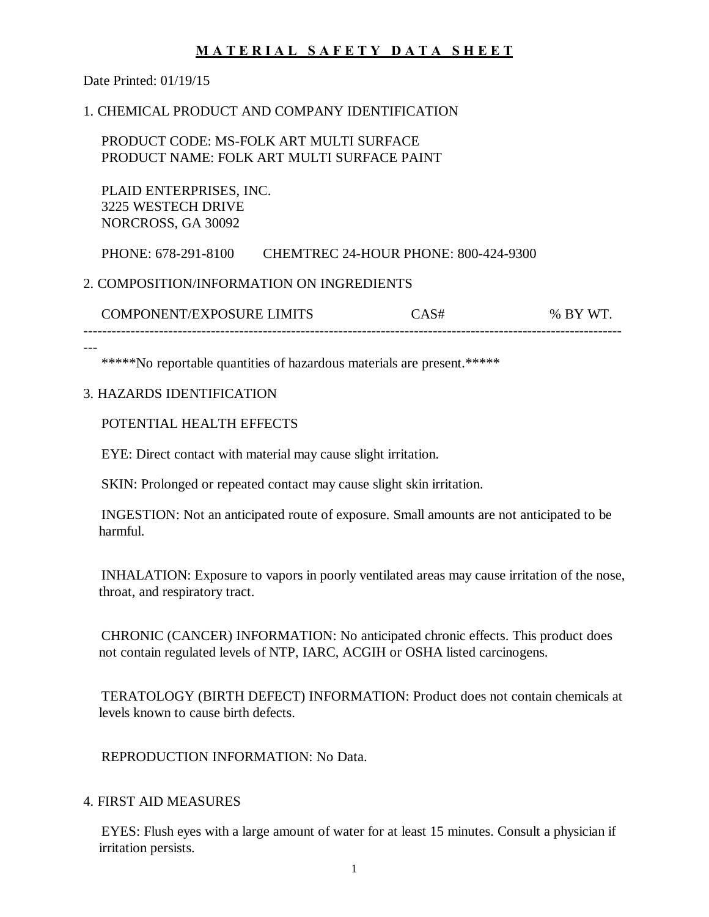Date Printed: 01/19/15

## 1. CHEMICAL PRODUCT AND COMPANY IDENTIFICATION

 PRODUCT CODE: MS-FOLK ART MULTI SURFACE PRODUCT NAME: FOLK ART MULTI SURFACE PAINT

 PLAID ENTERPRISES, INC. 3225 WESTECH DRIVE NORCROSS, GA 30092

PHONE: 678-291-8100 CHEMTREC 24-HOUR PHONE: 800-424-9300

## 2. COMPOSITION/INFORMATION ON INGREDIENTS

| COMPONENT/EXPOSURE LIMITS     | $W^{\mathbf{T}}$<br>%<br>. R V |
|-------------------------------|--------------------------------|
| ----------------------------- |                                |

---

\*\*\*\*\*No reportable quantities of hazardous materials are present.\*\*\*\*\*

## 3. HAZARDS IDENTIFICATION

POTENTIAL HEALTH EFFECTS

EYE: Direct contact with material may cause slight irritation.

SKIN: Prolonged or repeated contact may cause slight skin irritation.

 INGESTION: Not an anticipated route of exposure. Small amounts are not anticipated to be harmful.

 INHALATION: Exposure to vapors in poorly ventilated areas may cause irritation of the nose, throat, and respiratory tract.

 CHRONIC (CANCER) INFORMATION: No anticipated chronic effects. This product does not contain regulated levels of NTP, IARC, ACGIH or OSHA listed carcinogens.

 TERATOLOGY (BIRTH DEFECT) INFORMATION: Product does not contain chemicals at levels known to cause birth defects.

REPRODUCTION INFORMATION: No Data.

### 4. FIRST AID MEASURES

 EYES: Flush eyes with a large amount of water for at least 15 minutes. Consult a physician if irritation persists.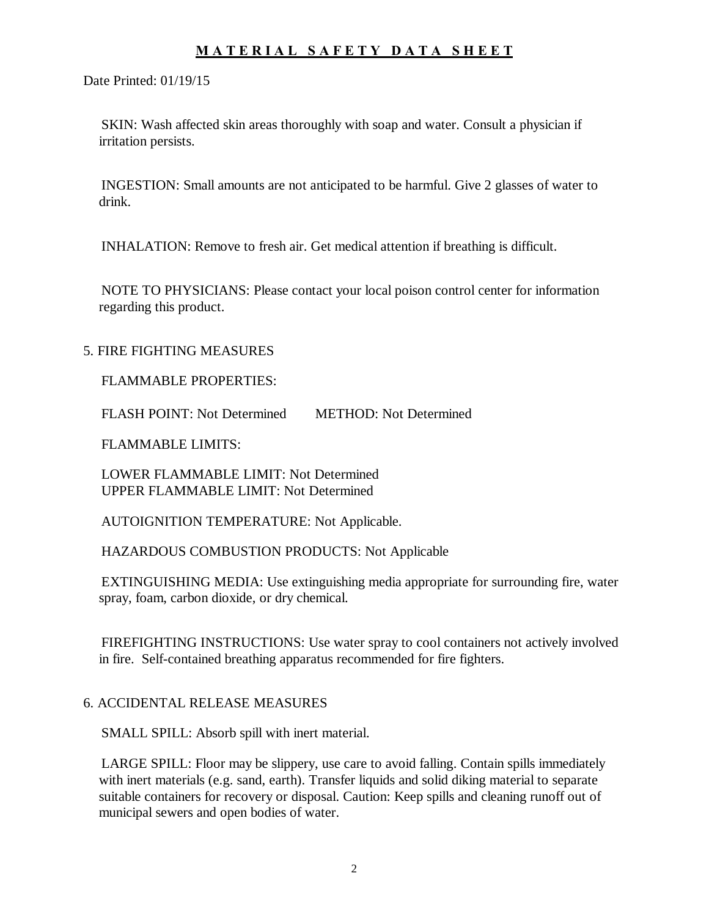Date Printed: 01/19/15

 SKIN: Wash affected skin areas thoroughly with soap and water. Consult a physician if irritation persists.

 INGESTION: Small amounts are not anticipated to be harmful. Give 2 glasses of water to drink.

INHALATION: Remove to fresh air. Get medical attention if breathing is difficult.

 NOTE TO PHYSICIANS: Please contact your local poison control center for information regarding this product.

#### 5. FIRE FIGHTING MEASURES

#### FLAMMABLE PROPERTIES:

FLASH POINT: Not Determined METHOD: Not Determined

FLAMMABLE LIMITS:

 LOWER FLAMMABLE LIMIT: Not Determined UPPER FLAMMABLE LIMIT: Not Determined

AUTOIGNITION TEMPERATURE: Not Applicable.

HAZARDOUS COMBUSTION PRODUCTS: Not Applicable

 EXTINGUISHING MEDIA: Use extinguishing media appropriate for surrounding fire, water spray, foam, carbon dioxide, or dry chemical.

 FIREFIGHTING INSTRUCTIONS: Use water spray to cool containers not actively involved in fire. Self-contained breathing apparatus recommended for fire fighters.

### 6. ACCIDENTAL RELEASE MEASURES

SMALL SPILL: Absorb spill with inert material.

 LARGE SPILL: Floor may be slippery, use care to avoid falling. Contain spills immediately with inert materials (e.g. sand, earth). Transfer liquids and solid diking material to separate suitable containers for recovery or disposal. Caution: Keep spills and cleaning runoff out of municipal sewers and open bodies of water.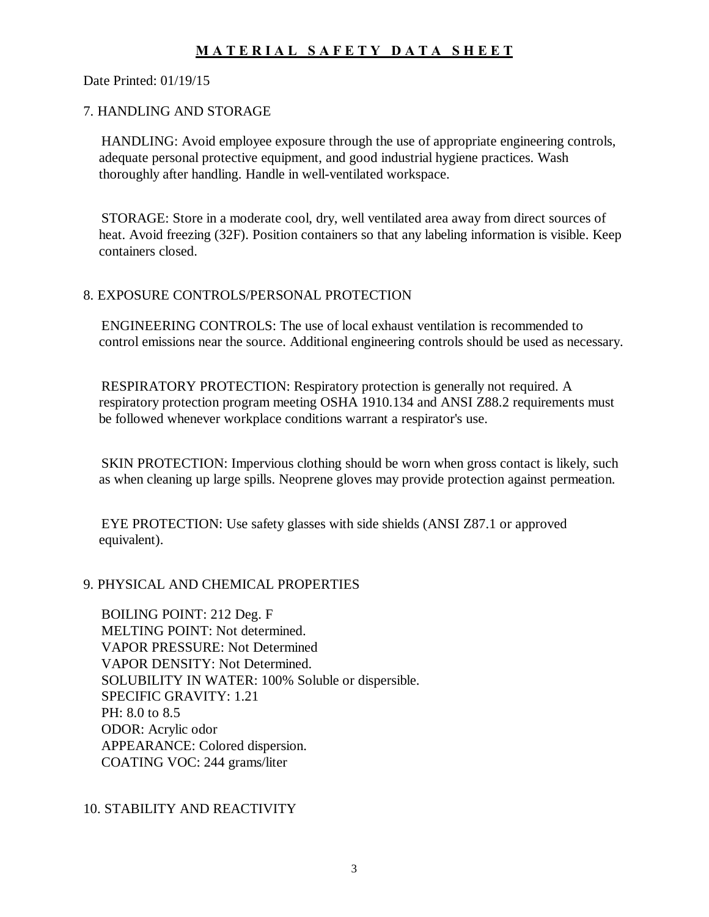Date Printed: 01/19/15

### 7. HANDLING AND STORAGE

 HANDLING: Avoid employee exposure through the use of appropriate engineering controls, adequate personal protective equipment, and good industrial hygiene practices. Wash thoroughly after handling. Handle in well-ventilated workspace.

 STORAGE: Store in a moderate cool, dry, well ventilated area away from direct sources of heat. Avoid freezing (32F). Position containers so that any labeling information is visible. Keep containers closed.

#### 8. EXPOSURE CONTROLS/PERSONAL PROTECTION

 ENGINEERING CONTROLS: The use of local exhaust ventilation is recommended to control emissions near the source. Additional engineering controls should be used as necessary.

 RESPIRATORY PROTECTION: Respiratory protection is generally not required. A respiratory protection program meeting OSHA 1910.134 and ANSI Z88.2 requirements must be followed whenever workplace conditions warrant a respirator's use.

 SKIN PROTECTION: Impervious clothing should be worn when gross contact is likely, such as when cleaning up large spills. Neoprene gloves may provide protection against permeation.

 EYE PROTECTION: Use safety glasses with side shields (ANSI Z87.1 or approved equivalent).

### 9. PHYSICAL AND CHEMICAL PROPERTIES

 BOILING POINT: 212 Deg. F MELTING POINT: Not determined. VAPOR PRESSURE: Not Determined VAPOR DENSITY: Not Determined. SOLUBILITY IN WATER: 100% Soluble or dispersible. SPECIFIC GRAVITY: 1.21 PH: 8.0 to 8.5 ODOR: Acrylic odor APPEARANCE: Colored dispersion. COATING VOC: 244 grams/liter

## 10. STABILITY AND REACTIVITY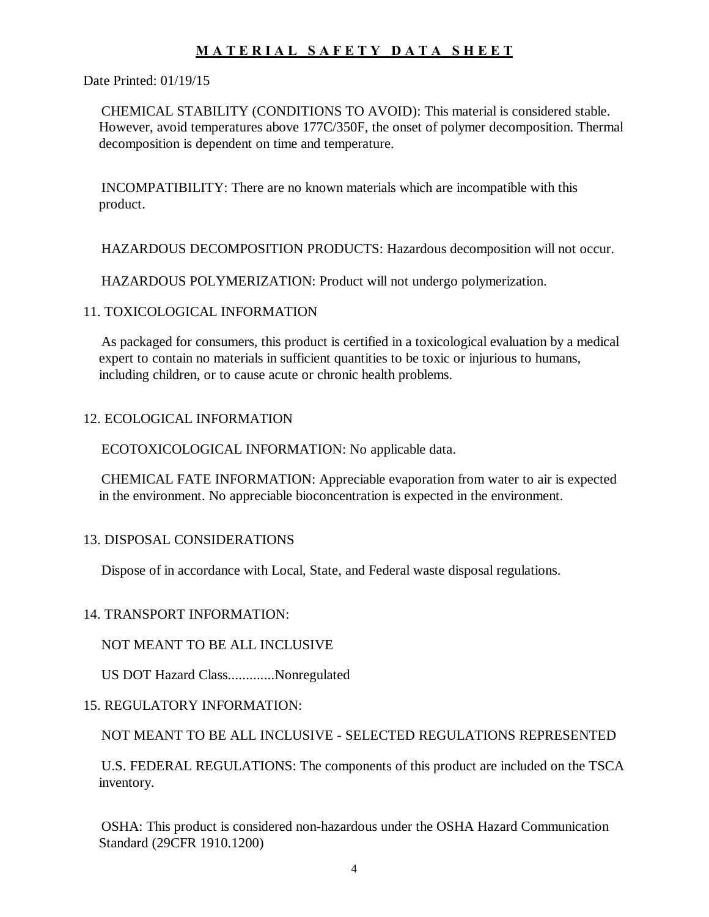Date Printed: 01/19/15

 CHEMICAL STABILITY (CONDITIONS TO AVOID): This material is considered stable. However, avoid temperatures above 177C/350F, the onset of polymer decomposition. Thermal decomposition is dependent on time and temperature.

 INCOMPATIBILITY: There are no known materials which are incompatible with this product.

HAZARDOUS DECOMPOSITION PRODUCTS: Hazardous decomposition will not occur.

HAZARDOUS POLYMERIZATION: Product will not undergo polymerization.

## 11. TOXICOLOGICAL INFORMATION

 As packaged for consumers, this product is certified in a toxicological evaluation by a medical expert to contain no materials in sufficient quantities to be toxic or injurious to humans, including children, or to cause acute or chronic health problems.

## 12. ECOLOGICAL INFORMATION

ECOTOXICOLOGICAL INFORMATION: No applicable data.

 CHEMICAL FATE INFORMATION: Appreciable evaporation from water to air is expected in the environment. No appreciable bioconcentration is expected in the environment.

### 13. DISPOSAL CONSIDERATIONS

Dispose of in accordance with Local, State, and Federal waste disposal regulations.

## 14. TRANSPORT INFORMATION:

### NOT MEANT TO BE ALL INCLUSIVE

US DOT Hazard Class.............Nonregulated

## 15. REGULATORY INFORMATION:

NOT MEANT TO BE ALL INCLUSIVE - SELECTED REGULATIONS REPRESENTED

 U.S. FEDERAL REGULATIONS: The components of this product are included on the TSCA inventory.

 OSHA: This product is considered non-hazardous under the OSHA Hazard Communication Standard (29CFR 1910.1200)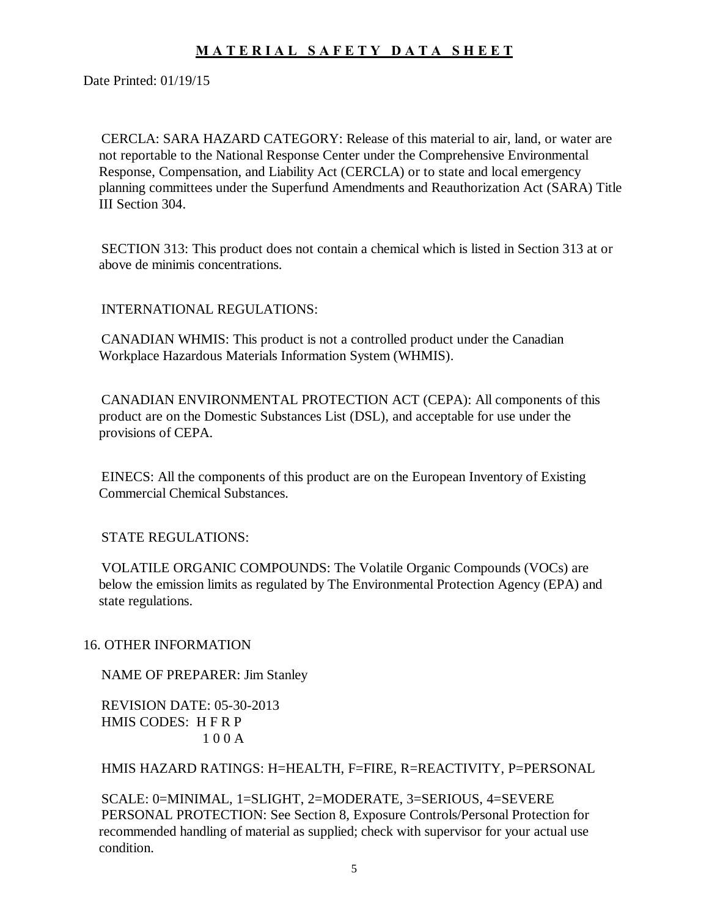Date Printed: 01/19/15

 CERCLA: SARA HAZARD CATEGORY: Release of this material to air, land, or water are not reportable to the National Response Center under the Comprehensive Environmental Response, Compensation, and Liability Act (CERCLA) or to state and local emergency planning committees under the Superfund Amendments and Reauthorization Act (SARA) Title III Section 304.

 SECTION 313: This product does not contain a chemical which is listed in Section 313 at or above de minimis concentrations.

INTERNATIONAL REGULATIONS:

 CANADIAN WHMIS: This product is not a controlled product under the Canadian Workplace Hazardous Materials Information System (WHMIS).

 CANADIAN ENVIRONMENTAL PROTECTION ACT (CEPA): All components of this product are on the Domestic Substances List (DSL), and acceptable for use under the provisions of CEPA.

 EINECS: All the components of this product are on the European Inventory of Existing Commercial Chemical Substances.

STATE REGULATIONS:

 VOLATILE ORGANIC COMPOUNDS: The Volatile Organic Compounds (VOCs) are below the emission limits as regulated by The Environmental Protection Agency (EPA) and state regulations.

16. OTHER INFORMATION

NAME OF PREPARER: Jim Stanley

 REVISION DATE: 05-30-2013 HMIS CODES: H F R P 1 0 0 A

HMIS HAZARD RATINGS: H=HEALTH, F=FIRE, R=REACTIVITY, P=PERSONAL

 SCALE: 0=MINIMAL, 1=SLIGHT, 2=MODERATE, 3=SERIOUS, 4=SEVERE PERSONAL PROTECTION: See Section 8, Exposure Controls/Personal Protection for recommended handling of material as supplied; check with supervisor for your actual use condition.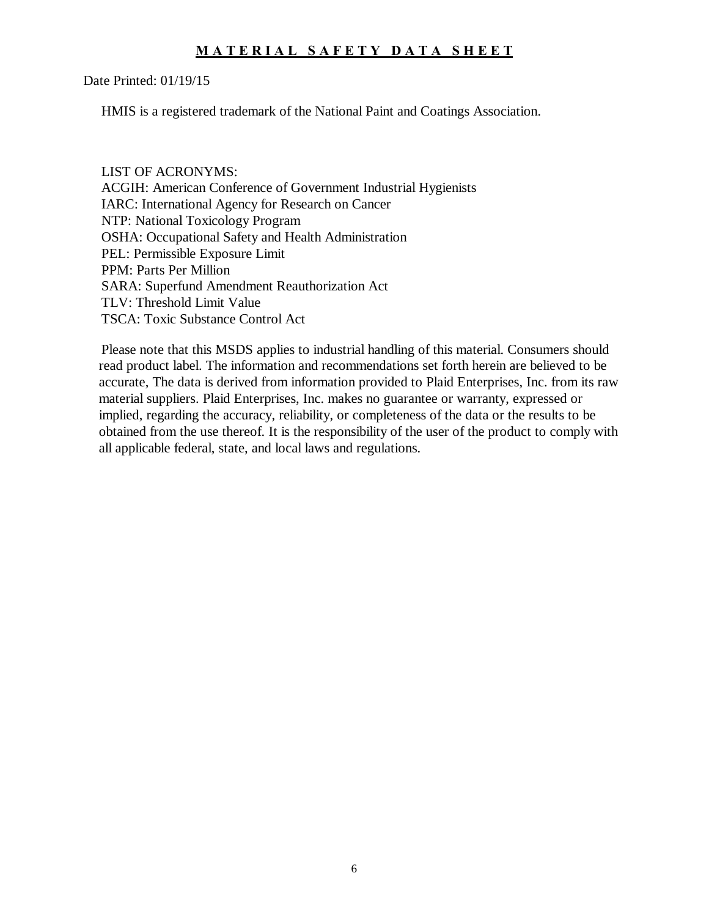Date Printed: 01/19/15

HMIS is a registered trademark of the National Paint and Coatings Association.

 LIST OF ACRONYMS: ACGIH: American Conference of Government Industrial Hygienists IARC: International Agency for Research on Cancer NTP: National Toxicology Program OSHA: Occupational Safety and Health Administration PEL: Permissible Exposure Limit PPM: Parts Per Million SARA: Superfund Amendment Reauthorization Act TLV: Threshold Limit Value TSCA: Toxic Substance Control Act

 Please note that this MSDS applies to industrial handling of this material. Consumers should read product label. The information and recommendations set forth herein are believed to be accurate, The data is derived from information provided to Plaid Enterprises, Inc. from its raw material suppliers. Plaid Enterprises, Inc. makes no guarantee or warranty, expressed or implied, regarding the accuracy, reliability, or completeness of the data or the results to be obtained from the use thereof. It is the responsibility of the user of the product to comply with all applicable federal, state, and local laws and regulations.